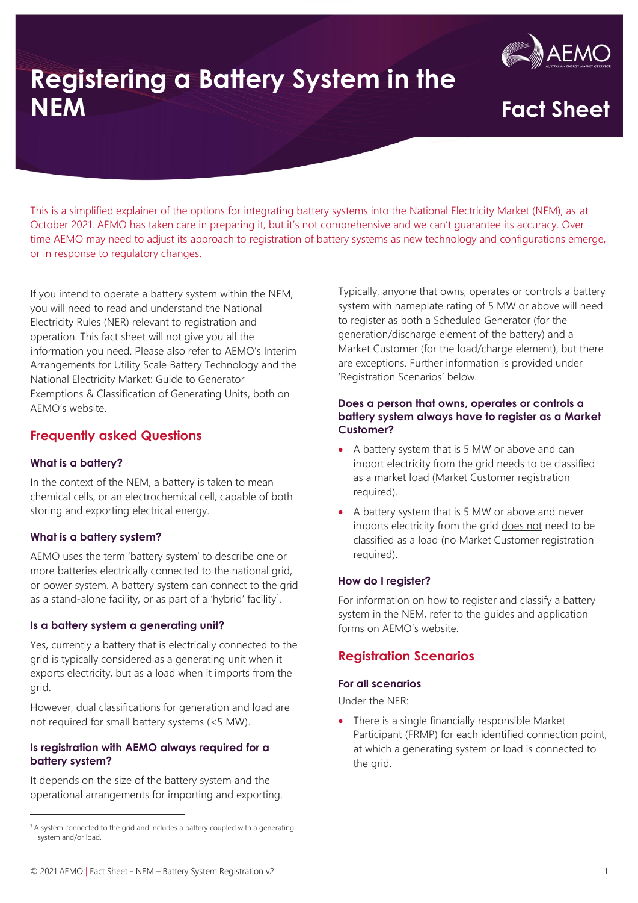

This is a simplified explainer of the options for integrating battery systems into the National Electricity Market (NEM), as at October 2021. AEMO has taken care in preparing it, but it's not comprehensive and we can't guarantee its accuracy. Over time AEMO may need to adjust its approach to registration of battery systems as new technology and configurations emerge, or in response to regulatory changes.

If you intend to operate a battery system within the NEM, you will need to read and understand the National Electricity Rules (NER) relevant to registration and operation. This fact sheet will not give you all the information you need. Please also refer to AEMO's Interim Arrangements for Utility Scale Battery Technology and the National Electricity Market: Guide to Generator Exemptions & Classification of Generating Units, both on AEMO's website.

## **Frequently asked Questions**

### **What is a battery?**

In the context of the NEM, a battery is taken to mean chemical cells, or an electrochemical cell, capable of both storing and exporting electrical energy.

### **What is a battery system?**

AEMO uses the term 'battery system' to describe one or more batteries electrically connected to the national grid, or power system. A battery system can connect to the grid as a stand-alone facility, or as part of a 'hybrid' facility<sup>1</sup>.

### **Is a battery system a generating unit?**

Yes, currently a battery that is electrically connected to the grid is typically considered as a generating unit when it exports electricity, but as a load when it imports from the grid.

However, dual classifications for generation and load are not required for small battery systems (<5 MW).

### **Is registration with AEMO always required for a battery system?**

It depends on the size of the battery system and the operational arrangements for importing and exporting. Typically, anyone that owns, operates or controls a battery system with nameplate rating of 5 MW or above will need to register as both a Scheduled Generator (for the generation/discharge element of the battery) and a Market Customer (for the load/charge element), but there are exceptions. Further information is provided under 'Registration Scenarios' below.

### **Does a person that owns, operates or controls a battery system always have to register as a Market Customer?**

- A battery system that is 5 MW or above and can import electricity from the grid needs to be classified as a market load (Market Customer registration required).
- A battery system that is 5 MW or above and never imports electricity from the grid does not need to be classified as a load (no Market Customer registration required).

### **How do I register?**

For information on how to register and classify a battery system in the NEM, refer to the guides and application forms on AEMO's website.

## **Registration Scenarios**

### **For all scenarios**

Under the NER:

There is a single financially responsible Market Participant (FRMP) for each identified connection point, at which a generating system or load is connected to the grid.

<sup>&</sup>lt;sup>1</sup> A system connected to the grid and includes a battery coupled with a generating system and/or load.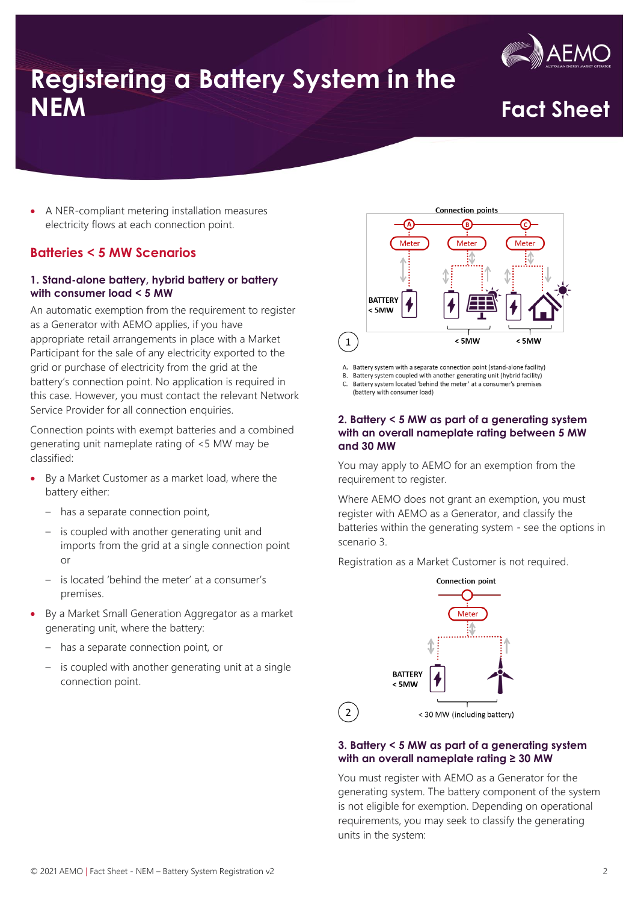

• A NER-compliant metering installation measures electricity flows at each connection point.

## **Batteries < 5 MW Scenarios**

### **1. Stand-alone battery, hybrid battery or battery with consumer load < 5 MW**

An automatic exemption from the requirement to register as a Generator with AEMO applies, if you have appropriate retail arrangements in place with a Market Participant for the sale of any electricity exported to the grid or purchase of electricity from the grid at the battery's connection point. No application is required in this case. However, you must contact the relevant Network Service Provider for all connection enquiries.

Connection points with exempt batteries and a combined generating unit nameplate rating of <5 MW may be classified:

- By a Market Customer as a market load, where the battery either:
	- has a separate connection point,
	- is coupled with another generating unit and imports from the grid at a single connection point or
	- is located 'behind the meter' at a consumer's premises.
- By a Market Small Generation Aggregator as a market generating unit, where the battery:
	- has a separate connection point, or
	- is coupled with another generating unit at a single connection point.



Battery system with a separate connection point (stand-alone facility) А.

Battery system coupled with another generating unit (hybrid facility)  $\mathbf{D}$ Battery system located 'behind the meter' at a consumer's premises C.

(battery with consumer load)

### **2. Battery < 5 MW as part of a generating system with an overall nameplate rating between 5 MW and 30 MW**

You may apply to AEMO for an exemption from the requirement to register.

Where AEMO does not grant an exemption, you must register with AEMO as a Generator, and classify the batteries within the generating system - see the options in scenario 3.

Registration as a Market Customer is not required.



### **3. Battery < 5 MW as part of a generating system with an overall nameplate rating ≥ 30 MW**

You must register with AEMO as a Generator for the generating system. The battery component of the system is not eligible for exemption. Depending on operational requirements, you may seek to classify the generating units in the system: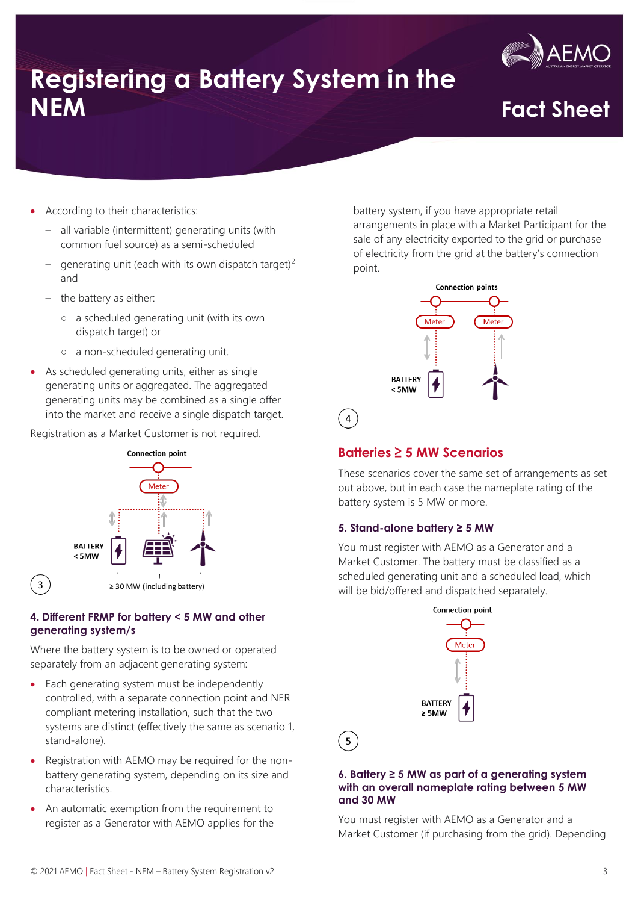

- According to their characteristics:
	- all variable (intermittent) generating units (with common fuel source) as a semi-scheduled
	- generating unit (each with its own dispatch target)<sup>2</sup> and
	- the battery as either:
		- a scheduled generating unit (with its own dispatch target) or
		- a non-scheduled generating unit.
- As scheduled generating units, either as single generating units or aggregated. The aggregated generating units may be combined as a single offer into the market and receive a single dispatch target.



### **4. Different FRMP for battery < 5 MW and other generating system/s**

Where the battery system is to be owned or operated separately from an adjacent generating system:

- Each generating system must be independently controlled, with a separate connection point and NER compliant metering installation, such that the two systems are distinct (effectively the same as scenario 1, stand-alone).
- Registration with AEMO may be required for the nonbattery generating system, depending on its size and characteristics.
- An automatic exemption from the requirement to register as a Generator with AEMO applies for the

battery system, if you have appropriate retail arrangements in place with a Market Participant for the sale of any electricity exported to the grid or purchase of electricity from the grid at the battery's connection point.



## **Batteries ≥ 5 MW Scenarios**

 $\overline{4}$ 

 $\overline{5}$ 

These scenarios cover the same set of arrangements as set out above, but in each case the nameplate rating of the battery system is 5 MW or more.

### **5. Stand-alone battery ≥ 5 MW**

You must register with AEMO as a Generator and a Market Customer. The battery must be classified as a scheduled generating unit and a scheduled load, which will be bid/offered and dispatched separately.



### **6. Battery ≥ 5 MW as part of a generating system with an overall nameplate rating between 5 MW and 30 MW**

You must register with AEMO as a Generator and a Market Customer (if purchasing from the grid). Depending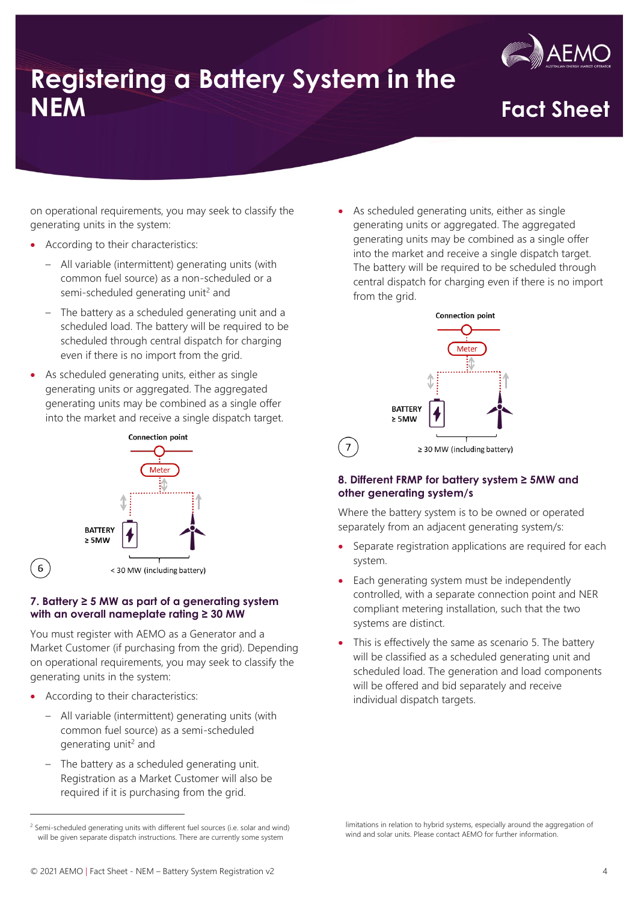

on operational requirements, you may seek to classify the generating units in the system:

- According to their characteristics:
	- All variable (intermittent) generating units (with common fuel source) as a non-scheduled or a semi-scheduled generating unit<sup>2</sup> and
	- The battery as a scheduled generating unit and a scheduled load. The battery will be required to be scheduled through central dispatch for charging even if there is no import from the grid.
- As scheduled generating units, either as single generating units or aggregated. The aggregated generating units may be combined as a single offer into the market and receive a single dispatch target.



### **7. Battery ≥ 5 MW as part of a generating system with an overall nameplate rating ≥ 30 MW**

You must register with AEMO as a Generator and a Market Customer (if purchasing from the grid). Depending on operational requirements, you may seek to classify the generating units in the system:

• According to their characteristics:

 $\,6\,$ 

- All variable (intermittent) generating units (with common fuel source) as a semi-scheduled generating unit<sup>2</sup> and
- The battery as a scheduled generating unit. Registration as a Market Customer will also be required if it is purchasing from the grid.

As scheduled generating units, either as single generating units or aggregated. The aggregated generating units may be combined as a single offer into the market and receive a single dispatch target. The battery will be required to be scheduled through central dispatch for charging even if there is no import from the grid.



### **8. Different FRMP for battery system ≥ 5MW and other generating system/s**

Where the battery system is to be owned or operated separately from an adjacent generating system/s:

- Separate registration applications are required for each system.
- Each generating system must be independently controlled, with a separate connection point and NER compliant metering installation, such that the two systems are distinct.
- This is effectively the same as scenario 5. The battery will be classified as a scheduled generating unit and scheduled load. The generation and load components will be offered and bid separately and receive individual dispatch targets.

<sup>&</sup>lt;sup>2</sup> Semi-scheduled generating units with different fuel sources (i.e. solar and wind) will be given separate dispatch instructions. There are currently some system

limitations in relation to hybrid systems, especially around the aggregation of wind and solar units. Please contact AEMO for further information.